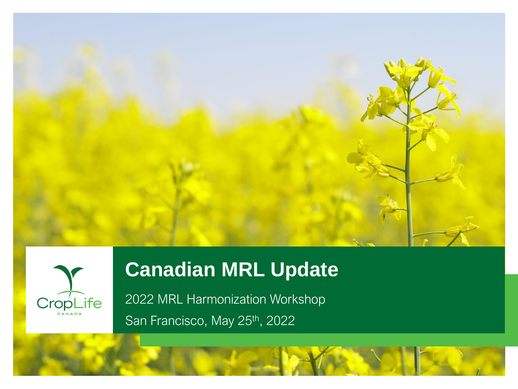



# **Canadian MRL Update**

2022 MRL Harmonization Workshop San Francisco, May 25<sup>th</sup>, 2022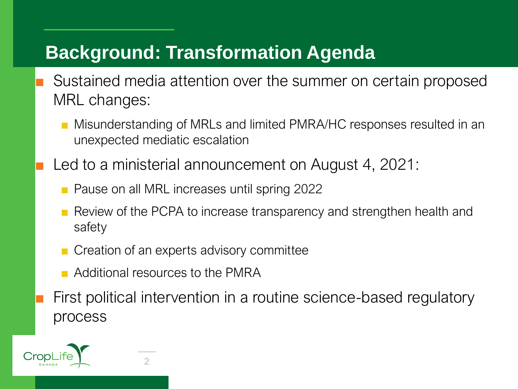## **Background: Transformation Agenda**

- Sustained media attention over the summer on certain proposed MRL changes:
	- Misunderstanding of MRLs and limited PMRA/HC responses resulted in an unexpected mediatic escalation
- Led to a ministerial announcement on August 4, 2021:
	- Pause on all MRL increases until spring 2022
	- Review of the PCPA to increase transparency and strengthen health and safety
	- Creation of an experts advisory committee
	- Additional resources to the PMRA

First political intervention in a routine science-based regulatory process

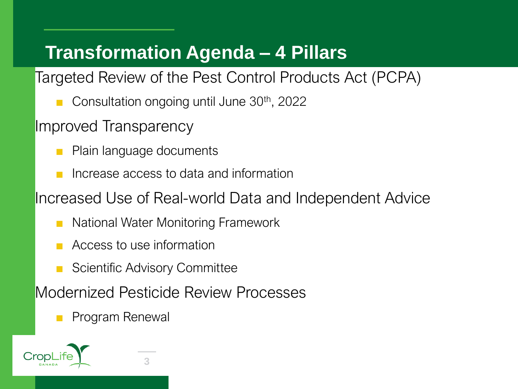## **Transformation Agenda – 4 Pillars**

Targeted Review of the Pest Control Products Act (PCPA)

Consultation ongoing until June  $30<sup>th</sup>$ , 2022

Improved Transparency

- Plain language documents
- Increase access to data and information

Increased Use of Real-world Data and Independent Advice

- National Water Monitoring Framework
- Access to use information
- **Scientific Advisory Committee**

Modernized Pesticide Review Processes

■ Program Renewal

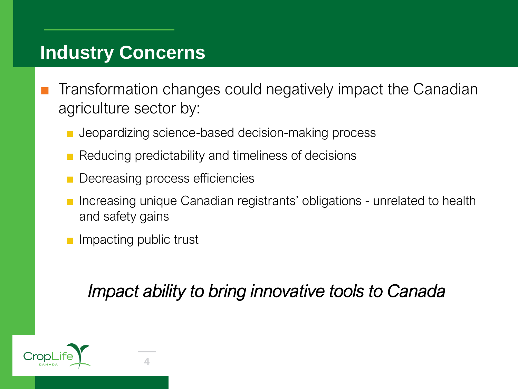### **Industry Concerns**

- Transformation changes could negatively impact the Canadian agriculture sector by:
	- Jeopardizing science-based decision-making process
	- Reducing predictability and timeliness of decisions
	- Decreasing process efficiencies
	- Increasing unique Canadian registrants' obligations unrelated to health and safety gains
	- Impacting public trust

*Impact ability to bring innovative tools to Canada*

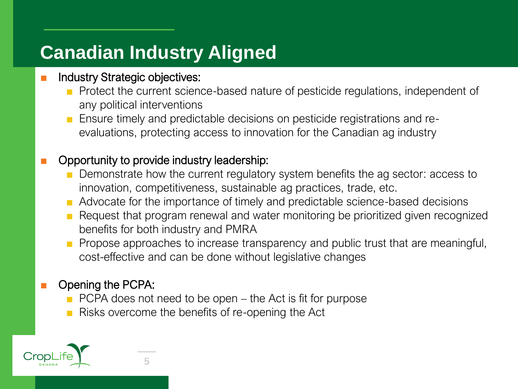## **Canadian Industry Aligned**

#### Industry Strategic objectives:

- Protect the current science-based nature of pesticide regulations, independent of any political interventions
- Ensure timely and predictable decisions on pesticide registrations and reevaluations, protecting access to innovation for the Canadian ag industry

#### Opportunity to provide industry leadership:

- Demonstrate how the current regulatory system benefits the ag sector: access to innovation, competitiveness, sustainable ag practices, trade, etc.
- Advocate for the importance of timely and predictable science-based decisions
- Request that program renewal and water monitoring be prioritized given recognized benefits for both industry and PMRA
- Propose approaches to increase transparency and public trust that are meaningful, cost-effective and can be done without legislative changes

#### Opening the PCPA:

- PCPA does not need to be open the Act is fit for purpose
- Risks overcome the benefits of re-opening the Act

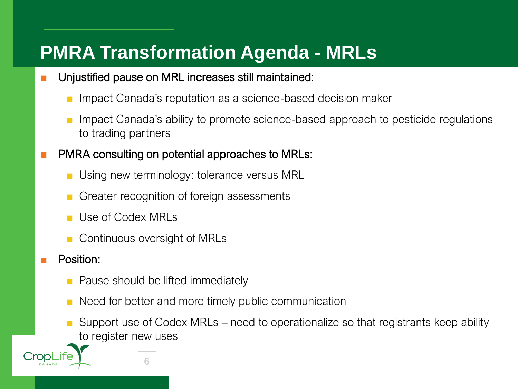## **PMRA Transformation Agenda - MRLs**

- Unjustified pause on MRL increases still maintained:
	- Impact Canada's reputation as a science-based decision maker
	- Impact Canada's ability to promote science-based approach to pesticide regulations to trading partners
- PMRA consulting on potential approaches to MRLs:
	- Using new terminology: tolerance versus MRL
	- Greater recognition of foreign assessments
	- Use of Codex MRLs
	- Continuous oversight of MRLs

**6**

Position:

Crop

- Pause should be lifted immediately
- Need for better and more timely public communication
- Support use of Codex MRLs need to operationalize so that registrants keep ability to register new uses